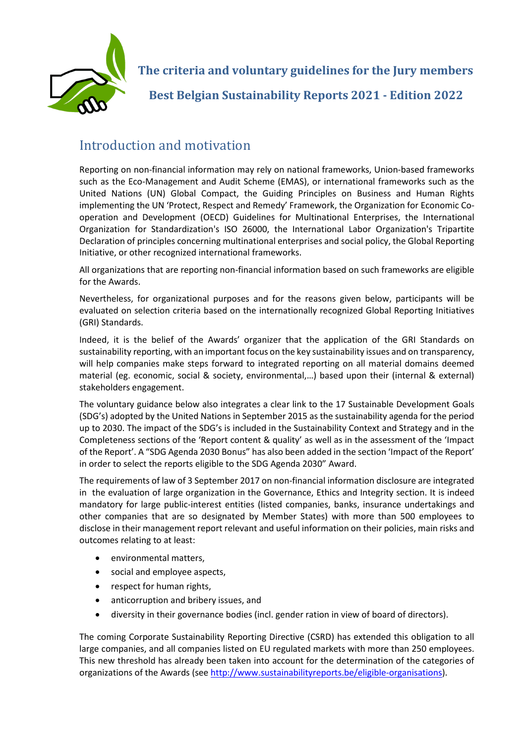

## Introduction and motivation

Reporting on non-financial information may rely on national frameworks, Union-based frameworks such as the Eco-Management and Audit Scheme (EMAS), or international frameworks such as the United Nations (UN) Global Compact, the Guiding Principles on Business and Human Rights implementing the UN 'Protect, Respect and Remedy' Framework, the Organization for Economic Cooperation and Development (OECD) Guidelines for Multinational Enterprises, the International Organization for Standardization's ISO 26000, the International Labor Organization's Tripartite Declaration of principles concerning multinational enterprises and social policy, the Global Reporting Initiative, or other recognized international frameworks.

All organizations that are reporting non-financial information based on such frameworks are eligible for the Awards.

Nevertheless, for organizational purposes and for the reasons given below, participants will be evaluated on selection criteria based on the internationally recognized Global Reporting Initiatives (GRI) Standards.

Indeed, it is the belief of the Awards' organizer that the application of the GRI Standards on sustainability reporting, with an important focus on the key sustainability issues and on transparency, will help companies make steps forward to integrated reporting on all material domains deemed material (eg. economic, social & society, environmental,…) based upon their (internal & external) stakeholders engagement.

The voluntary guidance below also integrates a clear link to the 17 Sustainable Development Goals (SDG's) adopted by the United Nations in September 2015 as the sustainability agenda for the period up to 2030. The impact of the SDG's is included in the Sustainability Context and Strategy and in the Completeness sections of the 'Report content & quality' as well as in the assessment of the 'Impact of the Report'. A "SDG Agenda 2030 Bonus" has also been added in the section 'Impact of the Report' in order to select the reports eligible to the SDG Agenda 2030" Award.

The requirements of law of 3 September 2017 on non-financial information disclosure are integrated in the evaluation of large organization in the Governance, Ethics and Integrity section. It is indeed mandatory for large public-interest entities (listed companies, banks, insurance undertakings and other companies that are so designated by Member States) with more than 500 employees to disclose in their management report relevant and useful information on their policies, main risks and outcomes relating to at least:

- environmental matters,
- social and employee aspects,
- respect for human rights,
- anticorruption and bribery issues, and
- diversity in their governance bodies (incl. gender ration in view of board of directors).

The coming Corporate Sustainability Reporting Directive (CSRD) has extended this obligation to all large companies, and all companies listed on EU regulated markets with more than 250 employees. This new threshold has already been taken into account for the determination of the categories of organizations of the Awards (see [http://www.sustainabilityreports.be/eligible-organisations\)](http://www.sustainabilityreports.be/eligible-organisations).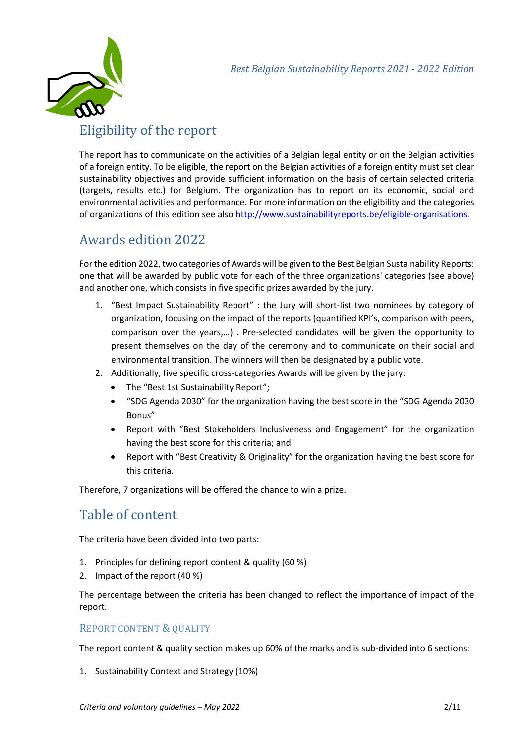

# Eligibility of the report

The report has to communicate on the activities of a Belgian legal entity or on the Belgian activities of a foreign entity. To be eligible, the report on the Belgian activities of a foreign entity must set clear sustainability objectives and provide sufficient information on the basis of certain selected criteria (targets, results etc.) for Belgium. The organization has to report on its economic, social and environmental activities and performance. For more information on the eligibility and the categories of organizations of this edition see als[o http://www.sustainabilityreports.be/eligible-organisations.](http://www.sustainabilityreports.be/eligible-organisations)

# Awards edition 2022

For the edition 2022, two categories of Awards will be given to the Best Belgian Sustainability Reports: one that will be awarded by public vote for each of the three organizations' categories (see above) and another one, which consists in five specific prizes awarded by the jury.

- 1. "Best Impact Sustainability Report" : the Jury will short-list two nominees by category of organization, focusing on the impact of the reports (quantified KPI's, comparison with peers, comparison over the years,…) . Pre-selected candidates will be given the opportunity to present themselves on the day of the ceremony and to communicate on their social and environmental transition. The winners will then be designated by a public vote.
- 2. Additionally, five specific cross-categories Awards will be given by the jury:
	- The "Best 1st Sustainability Report";
	- "SDG Agenda 2030" for the organization having the best score in the "SDG Agenda 2030 Bonus"
	- Report with "Best Stakeholders Inclusiveness and Engagement" for the organization having the best score for this criteria; and
	- Report with "Best Creativity & Originality" for the organization having the best score for this criteria.

Therefore, 7 organizations will be offered the chance to win a prize.

## Table of content

The criteria have been divided into two parts:

- 1. Principles for defining report content & quality (60 %)
- 2. Impact of the report (40 %)

The percentage between the criteria has been changed to reflect the importance of impact of the report.

#### REPORT CONTENT & QUALITY

The report content & quality section makes up 60% of the marks and is sub-divided into 6 sections:

1. Sustainability Context and Strategy (10%)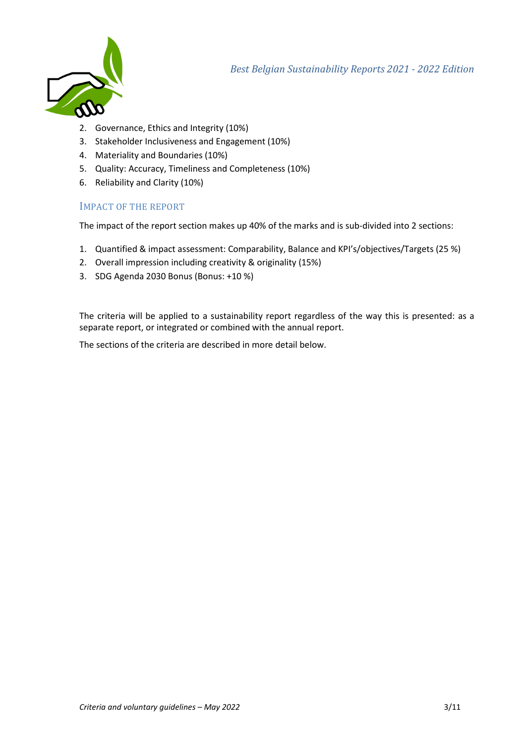

- 2. Governance, Ethics and Integrity (10%)
- 3. Stakeholder Inclusiveness and Engagement (10%)
- 4. Materiality and Boundaries (10%)
- 5. Quality: Accuracy, Timeliness and Completeness (10%)
- 6. Reliability and Clarity (10%)

#### IMPACT OF THE REPORT

The impact of the report section makes up 40% of the marks and is sub-divided into 2 sections:

- 1. Quantified & impact assessment: Comparability, Balance and KPI's/objectives/Targets (25 %)
- 2. Overall impression including creativity & originality (15%)
- 3. SDG Agenda 2030 Bonus (Bonus: +10 %)

The criteria will be applied to a sustainability report regardless of the way this is presented: as a separate report, or integrated or combined with the annual report.

The sections of the criteria are described in more detail below.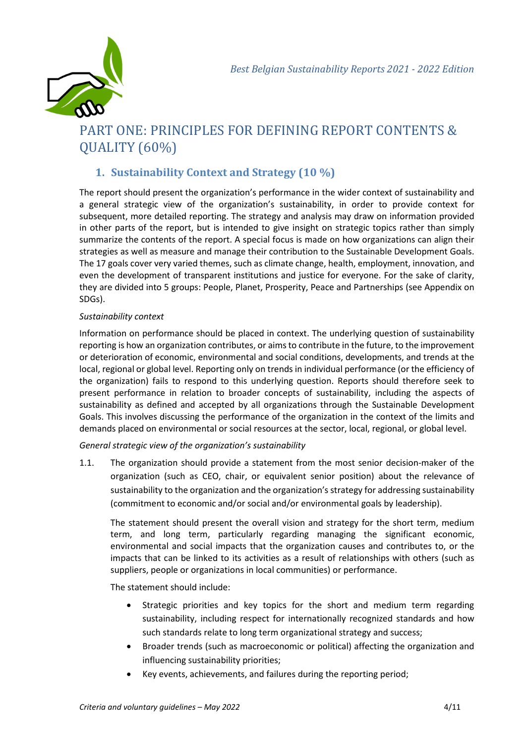

# PART ONE: PRINCIPLES FOR DEFINING REPORT CONTENTS & QUALITY (60%)

### **1. Sustainability Context and Strategy (10 %)**

The report should present the organization's performance in the wider context of sustainability and a general strategic view of the organization's sustainability, in order to provide context for subsequent, more detailed reporting. The strategy and analysis may draw on information provided in other parts of the report, but is intended to give insight on strategic topics rather than simply summarize the contents of the report. A special focus is made on how organizations can align their strategies as well as measure and manage their contribution to the Sustainable Development Goals. The 17 goals cover very varied themes, such as climate change, health, employment, innovation, and even the development of transparent institutions and justice for everyone. For the sake of clarity, they are divided into 5 groups: People, Planet, Prosperity, Peace and Partnerships (see Appendix on SDGs).

#### *Sustainability context*

Information on performance should be placed in context. The underlying question of sustainability reporting is how an organization contributes, or aims to contribute in the future, to the improvement or deterioration of economic, environmental and social conditions, developments, and trends at the local, regional or global level. Reporting only on trends in individual performance (or the efficiency of the organization) fails to respond to this underlying question. Reports should therefore seek to present performance in relation to broader concepts of sustainability, including the aspects of sustainability as defined and accepted by all organizations through the Sustainable Development Goals. This involves discussing the performance of the organization in the context of the limits and demands placed on environmental or social resources at the sector, local, regional, or global level.

*General strategic view of the organization's sustainability*

1.1. The organization should provide a statement from the most senior decision-maker of the organization (such as CEO, chair, or equivalent senior position) about the relevance of sustainability to the organization and the organization's strategy for addressing sustainability (commitment to economic and/or social and/or environmental goals by leadership).

The statement should present the overall vision and strategy for the short term, medium term, and long term, particularly regarding managing the significant economic, environmental and social impacts that the organization causes and contributes to, or the impacts that can be linked to its activities as a result of relationships with others (such as suppliers, people or organizations in local communities) or performance.

The statement should include:

- Strategic priorities and key topics for the short and medium term regarding sustainability, including respect for internationally recognized standards and how such standards relate to long term organizational strategy and success;
- Broader trends (such as macroeconomic or political) affecting the organization and influencing sustainability priorities;
- Key events, achievements, and failures during the reporting period;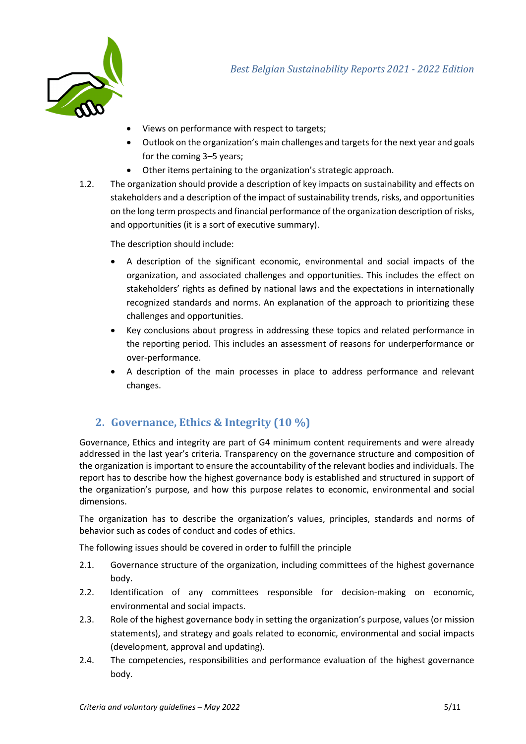

- Views on performance with respect to targets;
- Outlook on the organization's main challenges and targets for the next year and goals for the coming 3–5 years;
- Other items pertaining to the organization's strategic approach.
- 1.2. The organization should provide a description of key impacts on sustainability and effects on stakeholders and a description of the impact of sustainability trends, risks, and opportunities on the long term prospects and financial performance of the organization description of risks, and opportunities (it is a sort of executive summary).

The description should include:

- A description of the significant economic, environmental and social impacts of the organization, and associated challenges and opportunities. This includes the effect on stakeholders' rights as defined by national laws and the expectations in internationally recognized standards and norms. An explanation of the approach to prioritizing these challenges and opportunities.
- Key conclusions about progress in addressing these topics and related performance in the reporting period. This includes an assessment of reasons for underperformance or over-performance.
- A description of the main processes in place to address performance and relevant changes.

### **2. Governance, Ethics & Integrity (10 %)**

Governance, Ethics and integrity are part of G4 minimum content requirements and were already addressed in the last year's criteria. Transparency on the governance structure and composition of the organization is important to ensure the accountability of the relevant bodies and individuals. The report has to describe how the highest governance body is established and structured in support of the organization's purpose, and how this purpose relates to economic, environmental and social dimensions.

The organization has to describe the organization's values, principles, standards and norms of behavior such as codes of conduct and codes of ethics.

The following issues should be covered in order to fulfill the principle

- 2.1. Governance structure of the organization, including committees of the highest governance body.
- 2.2. Identification of any committees responsible for decision-making on economic, environmental and social impacts.
- 2.3. Role of the highest governance body in setting the organization's purpose, values (or mission statements), and strategy and goals related to economic, environmental and social impacts (development, approval and updating).
- 2.4. The competencies, responsibilities and performance evaluation of the highest governance body.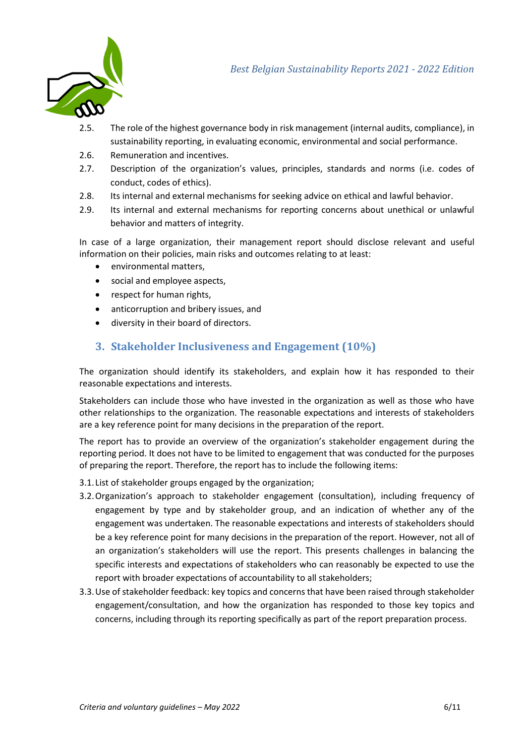

- 2.5. The role of the highest governance body in risk management (internal audits, compliance), in sustainability reporting, in evaluating economic, environmental and social performance.
- 2.6. Remuneration and incentives.
- 2.7. Description of the organization's values, principles, standards and norms (i.e. codes of conduct, codes of ethics).
- 2.8. Its internal and external mechanisms for seeking advice on ethical and lawful behavior.
- 2.9. Its internal and external mechanisms for reporting concerns about unethical or unlawful behavior and matters of integrity.

In case of a large organization, their management report should disclose relevant and useful information on their policies, main risks and outcomes relating to at least:

- environmental matters,
- social and employee aspects,
- respect for human rights,
- anticorruption and bribery issues, and
- diversity in their board of directors.

#### **3. Stakeholder Inclusiveness and Engagement (10%)**

The organization should identify its stakeholders, and explain how it has responded to their reasonable expectations and interests.

Stakeholders can include those who have invested in the organization as well as those who have other relationships to the organization. The reasonable expectations and interests of stakeholders are a key reference point for many decisions in the preparation of the report.

The report has to provide an overview of the organization's stakeholder engagement during the reporting period. It does not have to be limited to engagement that was conducted for the purposes of preparing the report. Therefore, the report has to include the following items:

- 3.1. List of stakeholder groups engaged by the organization;
- 3.2.Organization's approach to stakeholder engagement (consultation), including frequency of engagement by type and by stakeholder group, and an indication of whether any of the engagement was undertaken. The reasonable expectations and interests of stakeholders should be a key reference point for many decisions in the preparation of the report. However, not all of an organization's stakeholders will use the report. This presents challenges in balancing the specific interests and expectations of stakeholders who can reasonably be expected to use the report with broader expectations of accountability to all stakeholders;
- 3.3.Use of stakeholder feedback: key topics and concerns that have been raised through stakeholder engagement/consultation, and how the organization has responded to those key topics and concerns, including through its reporting specifically as part of the report preparation process.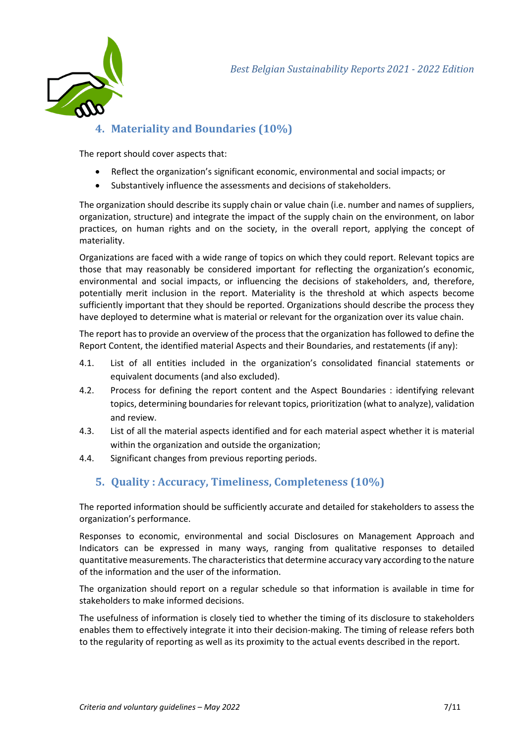

### **4. Materiality and Boundaries (10%)**

The report should cover aspects that:

- Reflect the organization's significant economic, environmental and social impacts; or
- Substantively influence the assessments and decisions of stakeholders.

The organization should describe its supply chain or value chain (i.e. number and names of suppliers, organization, structure) and integrate the impact of the supply chain on the environment, on labor practices, on human rights and on the society, in the overall report, applying the concept of materiality.

Organizations are faced with a wide range of topics on which they could report. Relevant topics are those that may reasonably be considered important for reflecting the organization's economic, environmental and social impacts, or influencing the decisions of stakeholders, and, therefore, potentially merit inclusion in the report. Materiality is the threshold at which aspects become sufficiently important that they should be reported. Organizations should describe the process they have deployed to determine what is material or relevant for the organization over its value chain.

The report has to provide an overview of the process that the organization has followed to define the Report Content, the identified material Aspects and their Boundaries, and restatements (if any):

- 4.1. List of all entities included in the organization's consolidated financial statements or equivalent documents (and also excluded).
- 4.2. Process for defining the report content and the Aspect Boundaries : identifying relevant topics, determining boundaries for relevant topics, prioritization (what to analyze), validation and review.
- 4.3. List of all the material aspects identified and for each material aspect whether it is material within the organization and outside the organization;
- 4.4. Significant changes from previous reporting periods.

### **5. Quality : Accuracy, Timeliness, Completeness (10%)**

The reported information should be sufficiently accurate and detailed for stakeholders to assess the organization's performance.

Responses to economic, environmental and social Disclosures on Management Approach and Indicators can be expressed in many ways, ranging from qualitative responses to detailed quantitative measurements. The characteristics that determine accuracy vary according to the nature of the information and the user of the information.

The organization should report on a regular schedule so that information is available in time for stakeholders to make informed decisions.

The usefulness of information is closely tied to whether the timing of its disclosure to stakeholders enables them to effectively integrate it into their decision-making. The timing of release refers both to the regularity of reporting as well as its proximity to the actual events described in the report.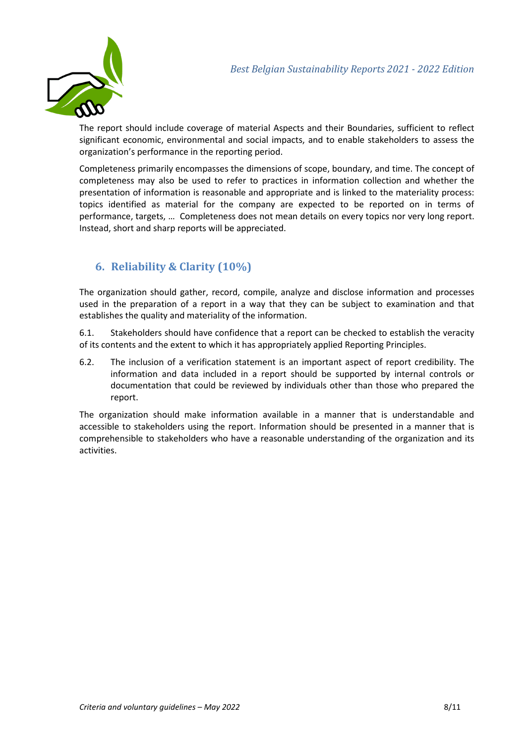

The report should include coverage of material Aspects and their Boundaries, sufficient to reflect significant economic, environmental and social impacts, and to enable stakeholders to assess the organization's performance in the reporting period.

Completeness primarily encompasses the dimensions of scope, boundary, and time. The concept of completeness may also be used to refer to practices in information collection and whether the presentation of information is reasonable and appropriate and is linked to the materiality process: topics identified as material for the company are expected to be reported on in terms of performance, targets, … Completeness does not mean details on every topics nor very long report. Instead, short and sharp reports will be appreciated.

### **6. Reliability & Clarity (10%)**

The organization should gather, record, compile, analyze and disclose information and processes used in the preparation of a report in a way that they can be subject to examination and that establishes the quality and materiality of the information.

6.1. Stakeholders should have confidence that a report can be checked to establish the veracity of its contents and the extent to which it has appropriately applied Reporting Principles.

6.2. The inclusion of a verification statement is an important aspect of report credibility. The information and data included in a report should be supported by internal controls or documentation that could be reviewed by individuals other than those who prepared the report.

The organization should make information available in a manner that is understandable and accessible to stakeholders using the report. Information should be presented in a manner that is comprehensible to stakeholders who have a reasonable understanding of the organization and its activities.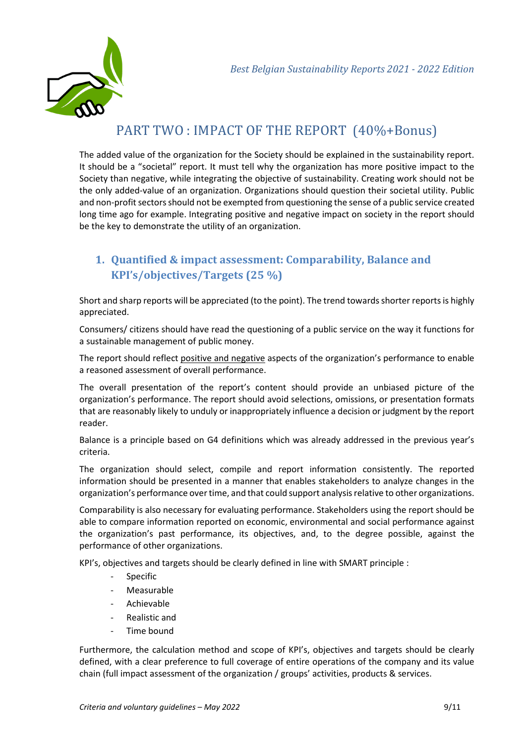

# PART TWO : IMPACT OF THE REPORT (40%+Bonus)

The added value of the organization for the Society should be explained in the sustainability report. It should be a "societal" report. It must tell why the organization has more positive impact to the Society than negative, while integrating the objective of sustainability. Creating work should not be the only added-value of an organization. Organizations should question their societal utility. Public and non-profit sectors should not be exempted from questioning the sense of a public service created long time ago for example. Integrating positive and negative impact on society in the report should be the key to demonstrate the utility of an organization.

### **1. Quantified & impact assessment: Comparability, Balance and KPI's/objectives/Targets (25 %)**

Short and sharp reports will be appreciated (to the point). The trend towards shorter reports is highly appreciated.

Consumers/ citizens should have read the questioning of a public service on the way it functions for a sustainable management of public money.

The report should reflect positive and negative aspects of the organization's performance to enable a reasoned assessment of overall performance.

The overall presentation of the report's content should provide an unbiased picture of the organization's performance. The report should avoid selections, omissions, or presentation formats that are reasonably likely to unduly or inappropriately influence a decision or judgment by the report reader.

Balance is a principle based on G4 definitions which was already addressed in the previous year's criteria.

The organization should select, compile and report information consistently. The reported information should be presented in a manner that enables stakeholders to analyze changes in the organization's performance over time, and that could support analysis relative to other organizations.

Comparability is also necessary for evaluating performance. Stakeholders using the report should be able to compare information reported on economic, environmental and social performance against the organization's past performance, its objectives, and, to the degree possible, against the performance of other organizations.

KPI's, objectives and targets should be clearly defined in line with SMART principle :

- Specific
- **Measurable**
- Achievable
- Realistic and
- Time bound

Furthermore, the calculation method and scope of KPI's, objectives and targets should be clearly defined, with a clear preference to full coverage of entire operations of the company and its value chain (full impact assessment of the organization / groups' activities, products & services.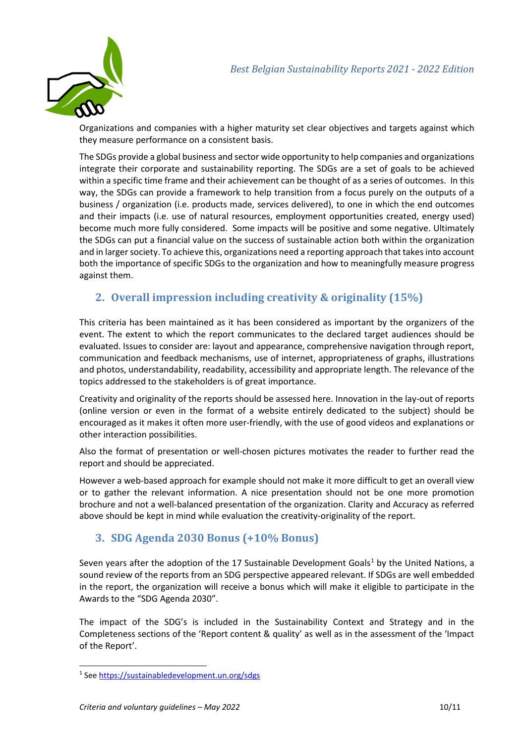

Organizations and companies with a higher maturity set clear objectives and targets against which they measure performance on a consistent basis.

The SDGs provide a global business and sector wide opportunity to help companies and organizations integrate their corporate and sustainability reporting. The SDGs are a set of goals to be achieved within a specific time frame and their achievement can be thought of as a series of outcomes. In this way, the SDGs can provide a framework to help transition from a focus purely on the outputs of a business / organization (i.e. products made, services delivered), to one in which the end outcomes and their impacts (i.e. use of natural resources, employment opportunities created, energy used) become much more fully considered. Some impacts will be positive and some negative. Ultimately the SDGs can put a financial value on the success of sustainable action both within the organization and in larger society. To achieve this, organizations need a reporting approach that takes into account both the importance of specific SDGs to the organization and how to meaningfully measure progress against them.

### **2. Overall impression including creativity & originality (15%)**

This criteria has been maintained as it has been considered as important by the organizers of the event. The extent to which the report communicates to the declared target audiences should be evaluated. Issues to consider are: layout and appearance, comprehensive navigation through report, communication and feedback mechanisms, use of internet, appropriateness of graphs, illustrations and photos, understandability, readability, accessibility and appropriate length. The relevance of the topics addressed to the stakeholders is of great importance.

Creativity and originality of the reports should be assessed here. Innovation in the lay-out of reports (online version or even in the format of a website entirely dedicated to the subject) should be encouraged as it makes it often more user-friendly, with the use of good videos and explanations or other interaction possibilities.

Also the format of presentation or well-chosen pictures motivates the reader to further read the report and should be appreciated.

However a web-based approach for example should not make it more difficult to get an overall view or to gather the relevant information. A nice presentation should not be one more promotion brochure and not a well-balanced presentation of the organization. Clarity and Accuracy as referred above should be kept in mind while evaluation the creativity-originality of the report.

#### **3. SDG Agenda 2030 Bonus (+10% Bonus)**

Seven years after the adoption of the [1](#page-9-0)7 Sustainable Development Goals<sup>1</sup> by the United Nations, a sound review of the reports from an SDG perspective appeared relevant. If SDGs are well embedded in the report, the organization will receive a bonus which will make it eligible to participate in the Awards to the "SDG Agenda 2030".

The impact of the SDG's is included in the Sustainability Context and Strategy and in the Completeness sections of the 'Report content & quality' as well as in the assessment of the 'Impact of the Report'.

<span id="page-9-0"></span><sup>1</sup> See<https://sustainabledevelopment.un.org/sdgs>